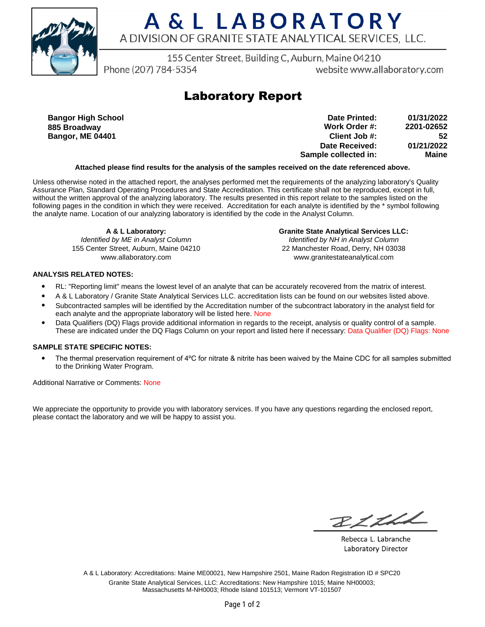

# A & L LABORATORY A DIVISION OF GRANITE STATE ANALYTICAL SERVICES, LLC.

155 Center Street, Building C, Auburn, Maine 04210

Phone (207) 784-5354

website www.allaboratory.com

## **Laboratory Report**

**Bangor High School 885 Broadway Bangor, ME 04401**

**Work Order #: Client Job #: Date Received: Sample collected in: 2201-02652 52 01/21/2022 Maine Date Printed: 01/31/2022**

### **Attached please find results for the analysis of the samples received on the date referenced above.**

Unless otherwise noted in the attached report, the analyses performed met the requirements of the analyzing laboratory's Quality Assurance Plan, Standard Operating Procedures and State Accreditation. This certificate shall not be reproduced, except in full, without the written approval of the analyzing laboratory. The results presented in this report relate to the samples listed on the following pages in the condition in which they were received. Accreditation for each analyte is identified by the \* symbol following the analyte name. Location of our analyzing laboratory is identified by the code in the Analyst Column.

**A & L Laboratory:** Identified by ME in Analyst Column 155 Center Street, Auburn, Maine 04210 www.allaboratory.com

**Granite State Analytical Services LLC:** Identified by NH in Analyst Column 22 Manchester Road, Derry, NH 03038 www.granitestateanalytical.com

### **ANALYSIS RELATED NOTES:**

- RL: "Reporting limit" means the lowest level of an analyte that can be accurately recovered from the matrix of interest.
- A & L Laboratory / Granite State Analytical Services LLC. accreditation lists can be found on our websites listed above.
- Subcontracted samples will be identified by the Accreditation number of the subcontract laboratory in the analyst field for each analyte and the appropriate laboratory will be listed here. None
- Data Qualifiers (DQ) Flags provide additional information in regards to the receipt, analysis or quality control of a sample. These are indicated under the DQ Flags Column on your report and listed here if necessary: Data Qualifier (DQ) Flags: None

### **SAMPLE STATE SPECIFIC NOTES:**

• The thermal preservation requirement of 4°C for nitrate & nitrite has been waived by the Maine CDC for all samples submitted to the Drinking Water Program.

Additional Narrative or Comments: None

We appreciate the opportunity to provide you with laboratory services. If you have any questions regarding the enclosed report, please contact the laboratory and we will be happy to assist you.

RICHL

Rebecca L. Labranche Laboratory Director

A & L Laboratory: Accreditations: Maine ME00021, New Hampshire 2501, Maine Radon Registration ID # SPC20 Granite State Analytical Services, LLC: Accreditations: New Hampshire 1015; Maine NH00003; Massachusetts M-NH0003; Rhode Island 101513; Vermont VT-101507